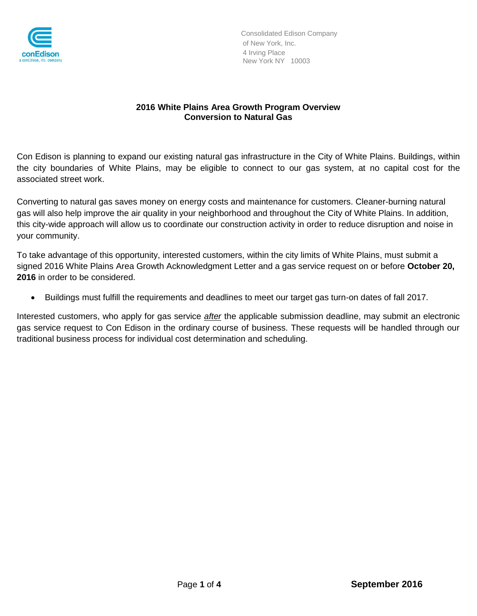

## **2016 White Plains Area Growth Program Overview Conversion to Natural Gas**

Con Edison is planning to expand our existing natural gas infrastructure in the City of White Plains. Buildings, within the city boundaries of White Plains, may be eligible to connect to our gas system, at no capital cost for the associated street work.

Converting to natural gas saves money on energy costs and maintenance for customers. Cleaner-burning natural gas will also help improve the air quality in your neighborhood and throughout the City of White Plains. In addition, this city-wide approach will allow us to coordinate our construction activity in order to reduce disruption and noise in your community.

To take advantage of this opportunity, interested customers, within the city limits of White Plains, must submit a signed 2016 White Plains Area Growth Acknowledgment Letter and a gas service request on or before **October 20, 2016** in order to be considered.

Buildings must fulfill the requirements and deadlines to meet our target gas turn-on dates of fall 2017.

Interested customers, who apply for gas service *after* the applicable submission deadline, may submit an electronic gas service request to Con Edison in the ordinary course of business. These requests will be handled through our traditional business process for individual cost determination and scheduling.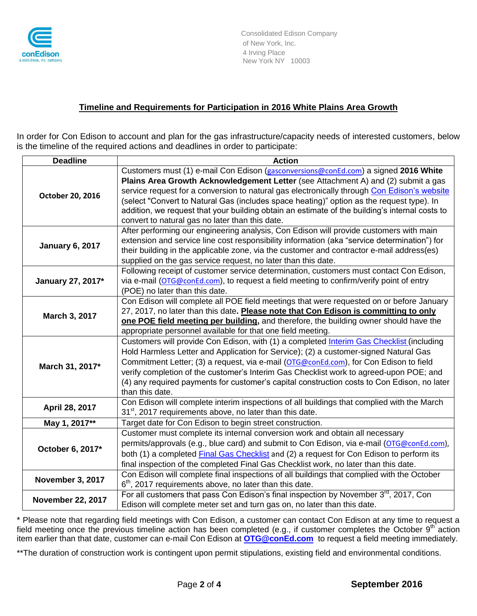

#### **Timeline and Requirements for Participation in 2016 White Plains Area Growth**

In order for Con Edison to account and plan for the gas infrastructure/capacity needs of interested customers, below is the timeline of the required actions and deadlines in order to participate:

| <b>Deadline</b>          | <b>Action</b>                                                                                                                                                                                                                                                                                                                                                                                                                                                                                                             |
|--------------------------|---------------------------------------------------------------------------------------------------------------------------------------------------------------------------------------------------------------------------------------------------------------------------------------------------------------------------------------------------------------------------------------------------------------------------------------------------------------------------------------------------------------------------|
| October 20, 2016         | Customers must (1) e-mail Con Edison (gasconversions@conEd.com) a signed 2016 White<br>Plains Area Growth Acknowledgement Letter (see Attachment A) and (2) submit a gas<br>service request for a conversion to natural gas electronically through Con Edison's website<br>(select "Convert to Natural Gas (includes space heating)" option as the request type). In<br>addition, we request that your building obtain an estimate of the building's internal costs to<br>convert to natural gas no later than this date. |
| <b>January 6, 2017</b>   | After performing our engineering analysis, Con Edison will provide customers with main<br>extension and service line cost responsibility information (aka "service determination") for<br>their building in the applicable zone, via the customer and contractor e-mail address(es)<br>supplied on the gas service request, no later than this date.                                                                                                                                                                      |
| January 27, 2017*        | Following receipt of customer service determination, customers must contact Con Edison,<br>via e-mail (OTG@conEd.com), to request a field meeting to confirm/verify point of entry<br>(POE) no later than this date.                                                                                                                                                                                                                                                                                                      |
| March 3, 2017            | Con Edison will complete all POE field meetings that were requested on or before January<br>27, 2017, no later than this date. Please note that Con Edison is committing to only<br>one POE field meeting per building, and therefore, the building owner should have the<br>appropriate personnel available for that one field meeting.                                                                                                                                                                                  |
| March 31, 2017*          | Customers will provide Con Edison, with (1) a completed Interim Gas Checklist (including<br>Hold Harmless Letter and Application for Service); (2) a customer-signed Natural Gas<br>Commitment Letter; (3) a request, via e-mail (OTG@conEd.com), for Con Edison to field<br>verify completion of the customer's Interim Gas Checklist work to agreed-upon POE; and<br>(4) any required payments for customer's capital construction costs to Con Edison, no later<br>than this date.                                     |
| April 28, 2017           | Con Edison will complete interim inspections of all buildings that complied with the March<br>31 <sup>st</sup> , 2017 requirements above, no later than this date.                                                                                                                                                                                                                                                                                                                                                        |
| May 1, 2017**            | Target date for Con Edison to begin street construction.                                                                                                                                                                                                                                                                                                                                                                                                                                                                  |
| October 6, 2017*         | Customer must complete its internal conversion work and obtain all necessary<br>permits/approvals (e.g., blue card) and submit to Con Edison, via e-mail (OTG@conEd.com),<br>both (1) a completed Final Gas Checklist and (2) a request for Con Edison to perform its<br>final inspection of the completed Final Gas Checklist work, no later than this date.                                                                                                                                                             |
| <b>November 3, 2017</b>  | Con Edison will complete final inspections of all buildings that complied with the October<br>$6th$ , 2017 requirements above, no later than this date.                                                                                                                                                                                                                                                                                                                                                                   |
| <b>November 22, 2017</b> | For all customers that pass Con Edison's final inspection by November $3^{rd}$ , 2017, Con<br>Edison will complete meter set and turn gas on, no later than this date.                                                                                                                                                                                                                                                                                                                                                    |

\* Please note that regarding field meetings with Con Edison, a customer can contact Con Edison at any time to request a field meeting once the previous timeline action has been completed (e.g., if customer completes the October 9<sup>th</sup> action item earlier than that date, customer can e-mail Con Edison at **[OTG@conEd.com](mailto:OTG@conEd.com)** to request a field meeting immediately.

\*\*The duration of construction work is contingent upon permit stipulations, existing field and environmental conditions.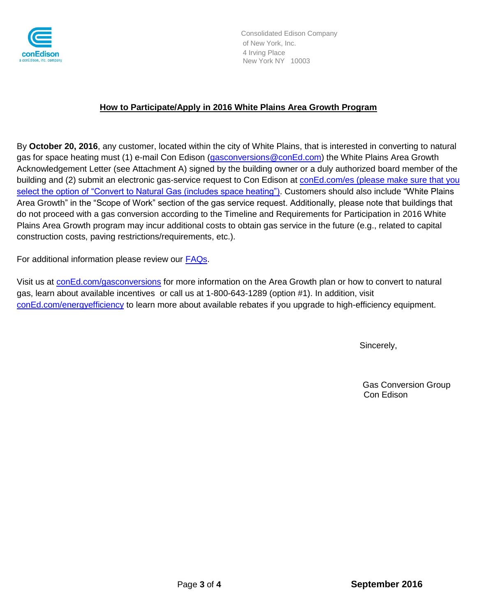

Consolidated Edison Company of New York, Inc. 4 Irving Place New York NY 10003

### **How to Participate/Apply in 2016 White Plains Area Growth Program**

By **October 20, 2016**, any customer, located within the city of White Plains, that is interested in converting to natural gas for space heating must (1) e-mail Con Edison [\(gasconversions@conEd.com\)](mailto:gasconversions@conEd.com) the White Plains Area Growth Acknowledgement Letter (see Attachment A) signed by the building owner or a duly authorized board member of the building and (2) submit an electronic gas-service request to Con Edison at [conEd.com/es](http://www.coned.com/es) (please make sure that you select the option of "Convert to Natural Gas (includes space heating"). Customers should also include "White Plains Area Growth" in the "Scope of Work" section of the gas service request. Additionally, please note that buildings that do not proceed with a gas conversion according to the Timeline and Requirements for Participation in 2016 White Plains Area Growth program may incur additional costs to obtain gas service in the future (e.g., related to capital construction costs, paving restrictions/requirements, etc.).

For additional information please review our **FAQs**.

Visit us at [conEd.com/gasconversions](http://www.coned.com/gasconversions) for more information on the Area Growth plan or how to convert to natural gas, learn about available incentives or call us at 1-800-643-1289 (option #1). In addition, visit [conEd.com/energyefficiency](http://www.coned.com/greenteam) to learn more about available rebates if you upgrade to high-efficiency equipment.

Sincerely,

Gas Conversion Group Con Edison